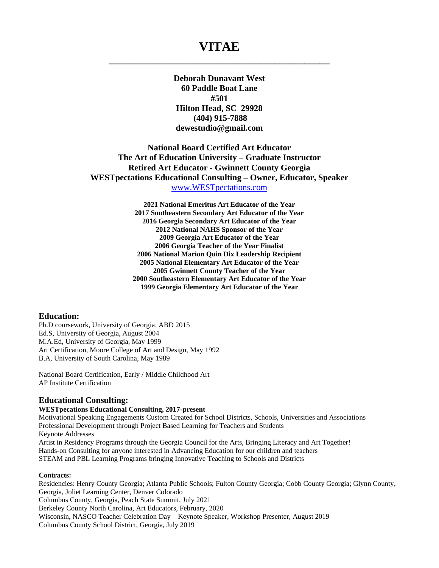# **VITAE \_\_\_\_\_\_\_\_\_\_\_\_\_\_\_\_\_\_\_\_\_\_\_\_\_\_\_\_\_\_\_\_\_\_\_\_\_\_\_\_\_\_\_\_**

**Deborah Dunavant West 60 Paddle Boat Lane #501 Hilton Head, SC 29928 (404) 915-7888 dewestudio@gmail.com**

## **National Board Certified Art Educator The Art of Education University – Graduate Instructor Retired Art Educator - Gwinnett County Georgia WESTpectations Educational Consulting – Owner, Educator, Speaker** [www.WESTpectations.com](http://www.westpectations.com/)

**2021 National Emeritus Art Educator of the Year 2017 Southeastern Secondary Art Educator of the Year 2016 Georgia Secondary Art Educator of the Year 2012 National NAHS Sponsor of the Year 2009 Georgia Art Educator of the Year 2006 Georgia Teacher of the Year Finalist 2006 National Marion Quin Dix Leadership Recipient 2005 National Elementary Art Educator of the Year 2005 Gwinnett County Teacher of the Year 2000 Southeastern Elementary Art Educator of the Year 1999 Georgia Elementary Art Educator of the Year**

#### **Education:**

Ph.D coursework, University of Georgia, ABD 2015 Ed.S, University of Georgia, August 2004 M.A.Ed, University of Georgia, May 1999 Art Certification, Moore College of Art and Design, May 1992 B.A, University of South Carolina, May 1989

National Board Certification, Early / Middle Childhood Art AP Institute Certification

#### **Educational Consulting:**

#### **WESTpecations Educational Consulting, 2017-present**

Motivational Speaking Engagements Custom Created for School Districts, Schools, Universities and Associations Professional Development through Project Based Learning for Teachers and Students Keynote Addresses Artist in Residency Programs through the Georgia Council for the Arts, Bringing Literacy and Art Together! Hands-on Consulting for anyone interested in Advancing Education for our children and teachers

STEAM and PBL Learning Programs bringing Innovative Teaching to Schools and Districts

#### **Contracts:**

Residencies: Henry County Georgia; Atlanta Public Schools; Fulton County Georgia; Cobb County Georgia; Glynn County, Georgia, Joliet Learning Center, Denver Colorado Columbus County, Georgia, Peach State Summit, July 2021 Berkeley County North Carolina, Art Educators, February, 2020 Wisconsin, NASCO Teacher Celebration Day – Keynote Speaker, Workshop Presenter, August 2019 Columbus County School District, Georgia, July 2019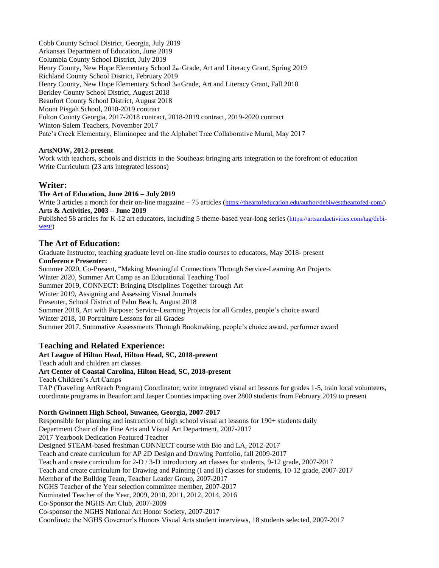Cobb County School District, Georgia, July 2019 Arkansas Department of Education, June 2019 Columbia County School District, July 2019 Henry County, New Hope Elementary School 2nd Grade, Art and Literacy Grant, Spring 2019 Richland County School District, February 2019 Henry County, New Hope Elementary School 3rd Grade, Art and Literacy Grant, Fall 2018 Berkley County School District, August 2018 Beaufort County School District, August 2018 Mount Pisgah School, 2018-2019 contract Fulton County Georgia, 2017-2018 contract, 2018-2019 contract, 2019-2020 contract Winton-Salem Teachers, November 2017 Pate's Creek Elementary, Eliminopee and the Alphabet Tree Collaborative Mural, May 2017

### **ArtsNOW, 2012-present**

Work with teachers, schools and districts in the Southeast bringing arts integration to the forefront of education Write Curriculum (23 arts integrated lessons)

## **Writer:**

**The Art of Education, June 2016 – July 2019**

Write 3 articles a month for their on-line magazine – 75 articles ([https://theartofeducation.edu/author/debiwesttheartofed-com/\)](https://theartofeducation.edu/author/debiwesttheartofed-com/) **Arts & Activities, 2003 – June 2019**

Published 58 articles for K-12 art educators, including 5 theme-based year-long series ([https://artsandactivities.com/tag/debi](https://artsandactivities.com/tag/debi-west/)[west/\)](https://artsandactivities.com/tag/debi-west/)

## **The Art of Education:**

Graduate Instructor, teaching graduate level on-line studio courses to educators, May 2018- present **Conference Presenter:** Summer 2020, Co-Present, "Making Meaningful Connections Through Service-Learning Art Projects Winter 2020, Summer Art Camp as an Educational Teaching Tool Summer 2019, CONNECT: Bringing Disciplines Together through Art Winter 2019, Assigning and Assessing Visual Journals Presenter, School District of Palm Beach, August 2018 Summer 2018, Art with Purpose: Service-Learning Projects for all Grades, people's choice award Winter 2018, 10 Portraiture Lessons for all Grades Summer 2017, Summative Assessments Through Bookmaking, people's choice award, performer award

## **Teaching and Related Experience:**

## **Art League of Hilton Head, Hilton Head, SC, 2018-present**

Teach adult and children art classes

#### **Art Center of Coastal Carolina, Hilton Head, SC, 2018-present**

Teach Children's Art Camps

TAP (Traveling ArtReach Program) Coordinator; write integrated visual art lessons for grades 1-5, train local volunteers, coordinate programs in Beaufort and Jasper Counties impacting over 2800 students from February 2019 to present

#### **North Gwinnett High School, Suwanee, Georgia, 2007-2017**

Responsible for planning and instruction of high school visual art lessons for 190+ students daily Department Chair of the Fine Arts and Visual Art Department, 2007-2017 2017 Yearbook Dedication Featured Teacher Designed STEAM-based freshman CONNECT course with Bio and LA, 2012-2017 Teach and create curriculum for AP 2D Design and Drawing Portfolio, fall 2009-2017 Teach and create curriculum for 2-D / 3-D introductory art classes for students, 9-12 grade, 2007-2017 Teach and create curriculum for Drawing and Painting (I and II) classes for students, 10-12 grade, 2007-2017 Member of the Bulldog Team, Teacher Leader Group, 2007-2017 NGHS Teacher of the Year selection committee member, 2007-2017 Nominated Teacher of the Year, 2009, 2010, 2011, 2012, 2014, 2016 Co-Sponsor the NGHS Art Club, 2007-2009 Co-sponsor the NGHS National Art Honor Society, 2007-2017 Coordinate the NGHS Governor's Honors Visual Arts student interviews, 18 students selected, 2007-2017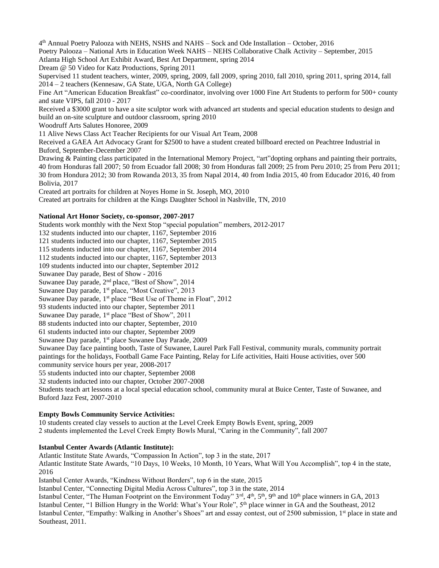4 th Annual Poetry Palooza with NEHS, NSHS and NAHS – Sock and Ode Installation – October, 2016 Poetry Palooza – National Arts in Education Week NAHS – NEHS Collaborative Chalk Activity – September, 2015 Atlanta High School Art Exhibit Award, Best Art Department, spring 2014 Dream @ 50 Video for Katz Productions, Spring 2011 Supervised 11 student teachers, winter, 2009, spring, 2009, fall 2009, spring 2010, fall 2010, spring 2011, spring 2014, fall 2014 – 2 teachers (Kennesaw, GA State, UGA, North GA College) Fine Art "American Education Breakfast" co-coordinator, involving over 1000 Fine Art Students to perform for 500+ county and state VIPS, fall 2010 - 2017 Received a \$3000 grant to have a site sculptor work with advanced art students and special education students to design and build an on-site sculpture and outdoor classroom, spring 2010 Woodruff Arts Salutes Honoree, 2009 11 Alive News Class Act Teacher Recipients for our Visual Art Team, 2008 Received a GAEA Art Advocacy Grant for \$2500 to have a student created billboard erected on Peachtree Industrial in Buford, September-December 2007

Drawing & Painting class participated in the International Memory Project, "art"dopting orphans and painting their portraits, 40 from Honduras fall 2007; 50 from Ecuador fall 2008; 30 from Honduras fall 2009; 25 from Peru 2010; 25 from Peru 2011; 30 from Hondura 2012; 30 from Rowanda 2013, 35 from Napal 2014, 40 from India 2015, 40 from Educador 2016, 40 from Bolivia, 2017

Created art portraits for children at Noyes Home in St. Joseph, MO, 2010 Created art portraits for children at the Kings Daughter School in Nashville, TN, 2010

#### **National Art Honor Society, co-sponsor, 2007-2017**

Students work monthly with the Next Stop "special population" members, 2012-2017

132 students inducted into our chapter, 1167, September 2016 121 students inducted into our chapter, 1167, September 2015

115 students inducted into our chapter, 1167, September 2014

112 students inducted into our chapter, 1167, September 2013

109 students inducted into our chapter, September 2012

Suwanee Day parade, Best of Show - 2016

Suwanee Day parade, 2nd place, "Best of Show", 2014

Suwanee Day parade, 1<sup>st</sup> place, "Most Creative", 2013

Suwanee Day parade, 1<sup>st</sup> place "Best Use of Theme in Float", 2012

93 students inducted into our chapter, September 2011

Suwanee Day parade, 1<sup>st</sup> place "Best of Show", 2011

88 students inducted into our chapter, September, 2010

61 students inducted into our chapter, September 2009

Suwanee Day parade, 1<sup>st</sup> place Suwanee Day Parade, 2009

Suwanee Day face painting booth, Taste of Suwanee, Laurel Park Fall Festival, community murals, community portrait paintings for the holidays, Football Game Face Painting, Relay for Life activities, Haiti House activities, over 500 community service hours per year, 2008-2017

55 students inducted into our chapter, September 2008

32 students inducted into our chapter, October 2007-2008

Students teach art lessons at a local special education school, community mural at Buice Center, Taste of Suwanee, and Buford Jazz Fest, 2007-2010

#### **Empty Bowls Community Service Activities:**

10 students created clay vessels to auction at the Level Creek Empty Bowls Event, spring, 2009

2 students implemented the Level Creek Empty Bowls Mural, "Caring in the Community", fall 2007

#### **Istanbul Center Awards (Atlantic Institute):**

Atlantic Institute State Awards, "Compassion In Action", top 3 in the state, 2017

Atlantic Institute State Awards, "10 Days, 10 Weeks, 10 Month, 10 Years, What Will You Accomplish", top 4 in the state, 2016

Istanbul Center Awards, "Kindness Without Borders", top 6 in the state, 2015

Istanbul Center, "Connecting Digital Media Across Cultures", top 3 in the state, 2014

Istanbul Center, "The Human Footprint on the Environment Today"  $3^{rd}$ ,  $4^{th}$ ,  $5^{th}$ ,  $9^{th}$  and  $10^{th}$  place winners in GA, 2013

Istanbul Center, "1 Billion Hungry in the World: What's Your Role", 5<sup>th</sup> place winner in GA and the Southeast, 2012

Istanbul Center, "Empathy: Walking in Another's Shoes" art and essay contest, out of 2500 submission, 1<sup>st</sup> place in state and Southeast, 2011.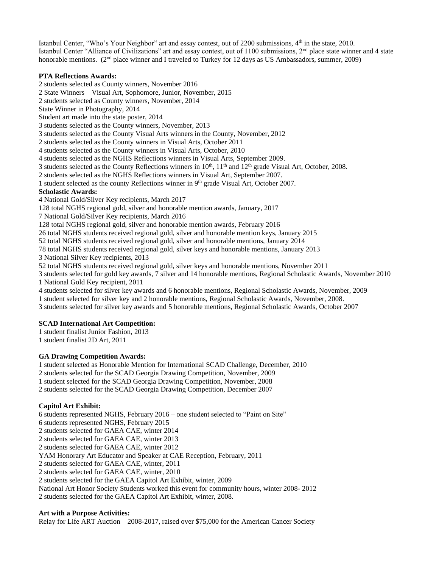Istanbul Center, "Who's Your Neighbor" art and essay contest, out of 2200 submissions, 4<sup>th</sup> in the state, 2010. Istanbul Center "Alliance of Civilizations" art and essay contest, out of 1100 submissions,  $2<sup>nd</sup>$  place state winner and 4 state honorable mentions. (2<sup>nd</sup> place winner and I traveled to Turkey for 12 days as US Ambassadors, summer, 2009)

#### **PTA Reflections Awards:**

2 students selected as County winners, November 2016

2 State Winners – Visual Art, Sophomore, Junior, November, 2015

2 students selected as County winners, November, 2014

State Winner in Photography, 2014

Student art made into the state poster, 2014

3 students selected as the County winners, November, 2013

3 students selected as the County Visual Arts winners in the County, November, 2012

2 students selected as the County winners in Visual Arts, October 2011

4 students selected as the County winners in Visual Arts, October, 2010

4 students selected as the NGHS Reflections winners in Visual Arts, September 2009.

3 students selected as the County Reflections winners in  $10<sup>th</sup>$ ,  $11<sup>th</sup>$  and  $12<sup>th</sup>$  grade Visual Art, October, 2008.

2 students selected as the NGHS Reflections winners in Visual Art, September 2007.

1 student selected as the county Reflections winner in  $9<sup>th</sup>$  grade Visual Art, October 2007.

#### **Scholastic Awards:**

4 National Gold/Silver Key recipients, March 2017

128 total NGHS regional gold, silver and honorable mention awards, January, 2017

7 National Gold/Silver Key recipients, March 2016

128 total NGHS regional gold, silver and honorable mention awards, February 2016

26 total NGHS students received regional gold, silver and honorable mention keys, January 2015

52 total NGHS students received regional gold, silver and honorable mentions, January 2014

78 total NGHS students received regional gold, silver keys and honorable mentions, January 2013

3 National Silver Key recipients, 2013

52 total NGHS students received regional gold, silver keys and honorable mentions, November 2011

3 students selected for gold key awards, 7 silver and 14 honorable mentions, Regional Scholastic Awards, November 2010 1 National Gold Key recipient, 2011

4 students selected for silver key awards and 6 honorable mentions, Regional Scholastic Awards, November, 2009

1 student selected for silver key and 2 honorable mentions, Regional Scholastic Awards, November, 2008.

3 students selected for silver key awards and 5 honorable mentions, Regional Scholastic Awards, October 2007

#### **SCAD International Art Competition:**

1 student finalist Junior Fashion, 2013

1 student finalist 2D Art, 2011

#### **GA Drawing Competition Awards:**

1 student selected as Honorable Mention for International SCAD Challenge, December, 2010

2 students selected for the SCAD Georgia Drawing Competition, November, 2009

1 student selected for the SCAD Georgia Drawing Competition, November, 2008

2 students selected for the SCAD Georgia Drawing Competition, December 2007

#### **Capitol Art Exhibit:**

6 students represented NGHS, February 2016 – one student selected to "Paint on Site" 6 students represented NGHS, February 2015 2 students selected for GAEA CAE, winter 2014 2 students selected for GAEA CAE, winter 2013

2 students selected for GAEA CAE, winter 2012

YAM Honorary Art Educator and Speaker at CAE Reception, February, 2011

2 students selected for GAEA CAE, winter, 2011

2 students selected for GAEA CAE, winter, 2010

2 students selected for the GAEA Capitol Art Exhibit, winter, 2009

National Art Honor Society Students worked this event for community hours, winter 2008- 2012

2 students selected for the GAEA Capitol Art Exhibit, winter, 2008.

#### **Art with a Purpose Activities:**

Relay for Life ART Auction – 2008-2017, raised over \$75,000 for the American Cancer Society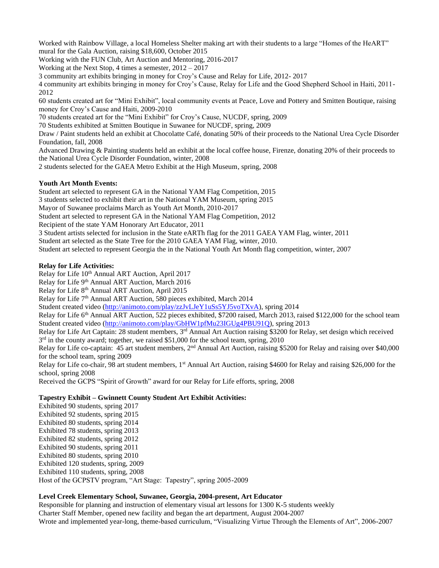Worked with Rainbow Village, a local Homeless Shelter making art with their students to a large "Homes of the HeART" mural for the Gala Auction, raising \$18,600, October 2015

Working with the FUN Club, Art Auction and Mentoring, 2016-2017

Working at the Next Stop, 4 times a semester, 2012 – 2017

3 community art exhibits bringing in money for Croy's Cause and Relay for Life, 2012- 2017

4 community art exhibits bringing in money for Croy's Cause, Relay for Life and the Good Shepherd School in Haiti, 2011- 2012

60 students created art for "Mini Exhibit", local community events at Peace, Love and Pottery and Smitten Boutique, raising money for Croy's Cause and Haiti, 2009-2010

70 students created art for the "Mini Exhibit" for Croy's Cause, NUCDF, spring, 2009

70 Students exhibited at Smitten Boutique in Suwanee for NUCDF, spring, 2009

Draw / Paint students held an exhibit at Chocolatte Café, donating 50% of their proceeds to the National Urea Cycle Disorder Foundation, fall, 2008

Advanced Drawing & Painting students held an exhibit at the local coffee house, Firenze, donating 20% of their proceeds to the National Urea Cycle Disorder Foundation, winter, 2008

2 students selected for the GAEA Metro Exhibit at the High Museum, spring, 2008

#### **Youth Art Month Events:**

Student art selected to represent GA in the National YAM Flag Competition, 2015

3 students selected to exhibit their art in the National YAM Museum, spring 2015

Mayor of Suwanee proclaims March as Youth Art Month, 2010-2017

Student art selected to represent GA in the National YAM Flag Competition, 2012

Recipient of the state YAM Honorary Art Educator, 2011

3 Student artists selected for inclusion in the State eARTh flag for the 2011 GAEA YAM Flag, winter, 2011

Student art selected as the State Tree for the 2010 GAEA YAM Flag, winter, 2010.

Student art selected to represent Georgia the in the National Youth Art Month flag competition, winter, 2007

#### **Relay for Life Activities:**

Relay for Life 10<sup>th</sup> Annual ART Auction, April 2017

Relay for Life 9<sup>th</sup> Annual ART Auction, March 2016

Relay for Life 8th Annual ART Auction, April 2015

Relay for Life 7<sup>th</sup> Annual ART Auction, 580 pieces exhibited, March 2014

Student created video [\(http://animoto.com/play/zzJvLJeY1uSs5YJ5voTXvA\)](http://animoto.com/play/zzJvLJeY1uSs5YJ5voTXvA), spring 2014

Relay for Life 6<sup>th</sup> Annual ART Auction, 522 pieces exhibited, \$7200 raised, March 2013, raised \$122,000 for the school team Student created video [\(http://animoto.com/play/GbHW1pfMu23IGUg4PBU91Q\)](http://animoto.com/play/GbHW1pfMu23IGUg4PBU91Q), spring 2013

Relay for Life Art Captain: 28 student members,  $3^{rd}$  Annual Art Auction raising \$3200 for Relay, set design which received 3<sup>rd</sup> in the county award; together, we raised \$51,000 for the school team, spring, 2010

Relay for Life co-captain: 45 art student members,  $2<sup>nd</sup>$  Annual Art Auction, raising \$5200 for Relay and raising over \$40,000 for the school team, spring 2009

Relay for Life co-chair, 98 art student members, 1<sup>st</sup> Annual Art Auction, raising \$4600 for Relay and raising \$26,000 for the school, spring 2008

Received the GCPS "Spirit of Growth" award for our Relay for Life efforts, spring, 2008

#### **Tapestry Exhibit – Gwinnett County Student Art Exhibit Activities:**

Exhibited 90 students, spring 2017 Exhibited 92 students, spring 2015 Exhibited 80 students, spring 2014 Exhibited 78 students, spring 2013 Exhibited 82 students, spring 2012 Exhibited 90 students, spring 2011 Exhibited 80 students, spring 2010 Exhibited 120 students, spring, 2009 Exhibited 110 students, spring, 2008 Host of the GCPSTV program, "Art Stage: Tapestry", spring 2005-2009

#### **Level Creek Elementary School, Suwanee, Georgia, 2004-present, Art Educator**

Responsible for planning and instruction of elementary visual art lessons for 1300 K-5 students weekly Charter Staff Member, opened new facility and began the art department, August 2004-2007 Wrote and implemented year-long, theme-based curriculum, "Visualizing Virtue Through the Elements of Art", 2006-2007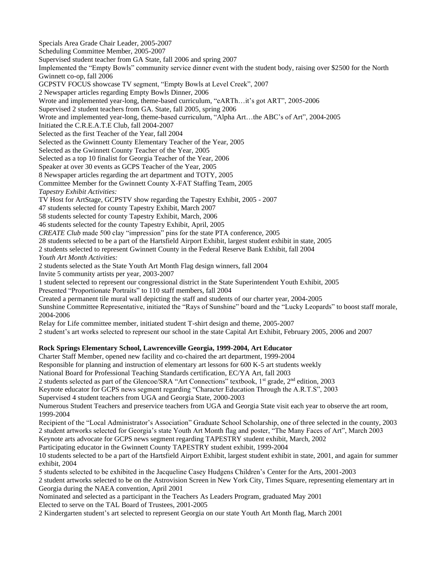Specials Area Grade Chair Leader, 2005-2007 Scheduling Committee Member, 2005-2007 Supervised student teacher from GA State, fall 2006 and spring 2007 Implemented the "Empty Bowls" community service dinner event with the student body, raising over \$2500 for the North Gwinnett co-op, fall 2006 GCPSTV FOCUS showcase TV segment, "Empty Bowls at Level Creek", 2007 2 Newspaper articles regarding Empty Bowls Dinner, 2006 Wrote and implemented year-long, theme-based curriculum, "eARTh…it's got ART", 2005-2006 Supervised 2 student teachers from GA. State, fall 2005, spring 2006 Wrote and implemented year-long, theme-based curriculum, "Alpha Art…the ABC's of Art", 2004-2005 Initiated the C.R.E.A.T.E Club, fall 2004-2007 Selected as the first Teacher of the Year, fall 2004 Selected as the Gwinnett County Elementary Teacher of the Year, 2005 Selected as the Gwinnett County Teacher of the Year, 2005 Selected as a top 10 finalist for Georgia Teacher of the Year, 2006 Speaker at over 30 events as GCPS Teacher of the Year, 2005 8 Newspaper articles regarding the art department and TOTY, 2005 Committee Member for the Gwinnett County X-FAT Staffing Team, 2005 *Tapestry Exhibit Activities:* TV Host for ArtStage, GCPSTV show regarding the Tapestry Exhibit, 2005 - 2007 47 students selected for county Tapestry Exhibit, March 2007 58 students selected for county Tapestry Exhibit, March, 2006 46 students selected for the county Tapestry Exhibit, April, 2005 *CREATE Club* made 500 clay "impression" pins for the state PTA conference, 2005 28 students selected to be a part of the Hartsfield Airport Exhibit, largest student exhibit in state, 2005 2 students selected to represent Gwinnett County in the Federal Reserve Bank Exhibit, fall 2004 *Youth Art Month Activities:* 2 students selected as the State Youth Art Month Flag design winners, fall 2004 Invite 5 community artists per year, 2003-2007 1 student selected to represent our congressional district in the State Superintendent Youth Exhibit, 2005 Presented "Proportionate Portraits" to 110 staff members, fall 2004 Created a permanent tile mural wall depicting the staff and students of our charter year, 2004-2005 Sunshine Committee Representative, initiated the "Rays of Sunshine" board and the "Lucky Leopards" to boost staff morale, 2004-2006 Relay for Life committee member, initiated student T-shirt design and theme, 2005-2007 2 student's art works selected to represent our school in the state Capital Art Exhibit, February 2005, 2006 and 2007 **Rock Springs Elementary School, Lawrenceville Georgia, 1999-2004, Art Educator** Charter Staff Member, opened new facility and co-chaired the art department, 1999-2004 Responsible for planning and instruction of elementary art lessons for 600 K-5 art students weekly National Board for Professional Teaching Standards certification, EC/YA Art, fall 2003 2 students selected as part of the Glencoe/SRA "Art Connections" textbook, 1<sup>st</sup> grade, 2<sup>nd</sup> edition, 2003 Keynote educator for GCPS news segment regarding "Character Education Through the A.R.T.S", 2003 Supervised 4 student teachers from UGA and Georgia State, 2000-2003 Numerous Student Teachers and preservice teachers from UGA and Georgia State visit each year to observe the art room, 1999-2004 Recipient of the "Local Administrator's Association" Graduate School Scholarship, one of three selected in the county, 2003 2 student artworks selected for Georgia's state Youth Art Month flag and poster, "The Many Faces of Art", March 2003 Keynote arts advocate for GCPS news segment regarding TAPESTRY student exhibit, March, 2002 Participating educator in the Gwinnett County TAPESTRY student exhibit, 1999-2004 10 students selected to be a part of the Hartsfield Airport Exhibit, largest student exhibit in state, 2001, and again for summer exhibit, 2004 5 students selected to be exhibited in the Jacqueline Casey Hudgens Children's Center for the Arts, 2001-2003 2 student artworks selected to be on the Astrovision Screen in New York City, Times Square, representing elementary art in Georgia during the NAEA convention, April 2001 Nominated and selected as a participant in the Teachers As Leaders Program, graduated May 2001 Elected to serve on the TAL Board of Trustees, 2001-2005 2 Kindergarten student's art selected to represent Georgia on our state Youth Art Month flag, March 2001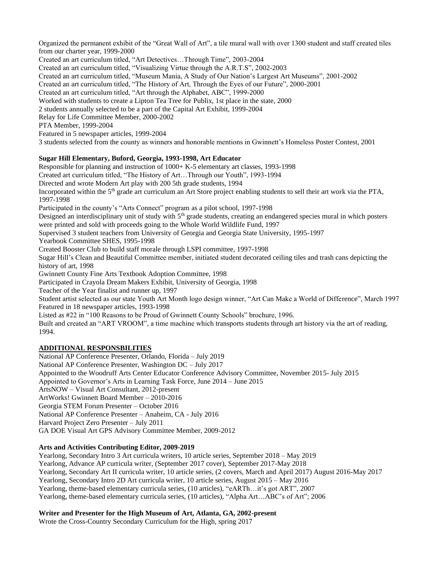Organized the permanent exhibit of the "Great Wall of Art", a tile mural wall with over 1300 student and staff created tiles from our charter year, 1999-2000

Created an art curriculum titled, "Art Detectives…Through Time", 2003-2004

Created an art curriculum titled, "Visualizing Virtue through the A.R.T.S", 2002-2003

Created an art curriculum titled, "Museum Mania, A Study of Our Nation's Largest Art Museums", 2001-2002

Created an art curriculum titled, "The History of Art, Through the Eyes of our Future", 2000-2001

Created an art curriculum titled, "Art through the Alphabet, ABC", 1999-2000

Worked with students to create a Lipton Tea Tree for Publix, 1st place in the state, 2000

2 students annually selected to be a part of the Capital Art Exhibit, 1999-2004

Relay for Life Committee Member, 2000-2002

PTA Member, 1999-2004

Featured in 5 newspaper articles, 1999-2004

3 students selected from the county as winners and honorable mentions in Gwinnett's Homeless Poster Contest, 2001

#### **Sugar Hill Elementary, Buford, Georgia, 1993-1998, Art Educator**

Responsible for planning and instruction of 1000+ K-5 elementary art classes, 1993-1998 Created art curriculum titled, "The History of Art…Through our Youth", 1993-1994 Directed and wrote Modern Art play with 200 5th grade students, 1994 Incorporated within the 5th grade art curriculum an Art Store project enabling students to sell their art work via the PTA, 1997-1998 Participated in the county's "Arts Connect" program as a pilot school, 1997-1998 Designed an interdisciplinary unit of study with  $5<sup>th</sup>$  grade students, creating an endangered species mural in which posters were printed and sold with proceeds going to the Whole World Wildlife Fund, 1997 Supervised 3 student teachers from University of Georgia and Georgia State University, 1995-1997 Yearbook Committee SHES, 1995-1998 Created Booster Club to build staff morale through LSPI committee, 1997-1998 Sugar Hill's Clean and Beautiful Committee member, initiated student decorated ceiling tiles and trash cans depicting the history of art, 1998 Gwinnett County Fine Arts Textbook Adoption Committee, 1998

Participated in Crayola Dream Makers Exhibit, University of Georgia, 1998

Teacher of the Year finalist and runner up, 1997

Student artist selected as our state Youth Art Month logo design winner, "Art Can Make a World of Difference", March 1997 Featured in 18 newspaper articles, 1993-1998

Listed as #22 in "100 Reasons to be Proud of Gwinnett County Schools" brochure, 1996.

Built and created an "ART VROOM", a time machine which transports students through art history via the art of reading, 1994.

#### **ADDITIONAL RESPONSBILITIES**

National AP Conference Presenter, Orlando, Florida – July 2019 National AP Conference Presenter, Washington DC – July 2017 Appointed to the Woodruff Arts Center Educator Conference Advisory Committee, November 2015- July 2015 Appointed to Governor's Arts in Learning Task Force, June 2014 – June 2015 ArtsNOW – Visual Art Consultant, 2012-present ArtWorks! Gwinnett Board Member – 2010-2016 Georgia STEM Forum Presenter – October 2016 National AP Conference Presenter – Anaheim, CA - July 2016 Harvard Project Zero Presenter – July 2011 GA DOE Visual Art GPS Advisory Committee Member, 2009-2012

#### **Arts and Activities Contributing Editor, 2009-2019**

Yearlong, Secondary Intro 3 Art curricula writers, 10 article series, September 2018 – May 2019 Yearlong, Advance AP curricula writer, (September 2017 cover), September 2017-May 2018 Yearlong, Secondary Art II curricula writer, 10 article series, (2 covers, March and April 2017) August 2016-May 2017 Yearlong, Secondary Intro 2D Art curricula writer, 10 article series, August 2015 – May 2016 Yearlong, theme-based elementary curricula series, (10 articles), "eARTh…it's got ART", 2007 Yearlong, theme-based elementary curricula series, (10 articles), "Alpha Art…ABC's of Art"; 2006

#### **Writer and Presenter for the High Museum of Art, Atlanta, GA, 2002-present**

Wrote the Cross-Country Secondary Curriculum for the High, spring 2017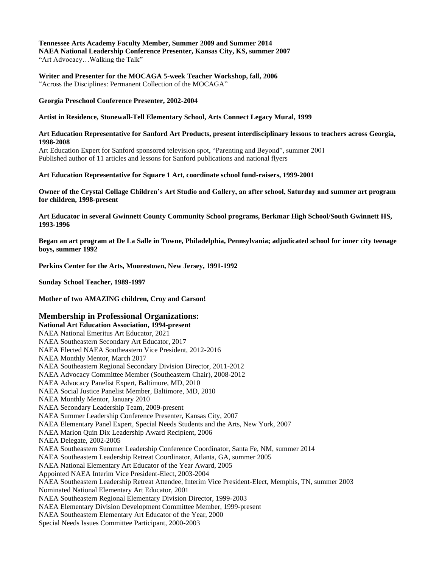## **Tennessee Arts Academy Faculty Member, Summer 2009 and Summer 2014**

**NAEA National Leadership Conference Presenter, Kansas City, KS, summer 2007** "Art Advocacy…Walking the Talk"

**Writer and Presenter for the MOCAGA 5-week Teacher Workshop, fall, 2006** "Across the Disciplines: Permanent Collection of the MOCAGA"

**Georgia Preschool Conference Presenter, 2002-2004**

#### **Artist in Residence, Stonewall-Tell Elementary School, Arts Connect Legacy Mural, 1999**

#### **Art Education Representative for Sanford Art Products, present interdisciplinary lessons to teachers across Georgia, 1998-2008**

Art Education Expert for Sanford sponsored television spot, "Parenting and Beyond", summer 2001 Published author of 11 articles and lessons for Sanford publications and national flyers

#### **Art Education Representative for Square 1 Art, coordinate school fund-raisers, 1999-2001**

**Owner of the Crystal Collage Children's Art Studio and Gallery, an after school, Saturday and summer art program for children, 1998-present**

**Art Educator in several Gwinnett County Community School programs, Berkmar High School/South Gwinnett HS, 1993-1996**

**Began an art program at De La Salle in Towne, Philadelphia, Pennsylvania; adjudicated school for inner city teenage boys, summer 1992**

**Perkins Center for the Arts, Moorestown, New Jersey, 1991-1992**

**Sunday School Teacher, 1989-1997**

**Mother of two AMAZING children, Croy and Carson!**

#### **Membership in Professional Organizations:**

**National Art Education Association, 1994-present** NAEA National Emeritus Art Educator, 2021 NAEA Southeastern Secondary Art Educator, 2017 NAEA Elected NAEA Southeastern Vice President, 2012-2016 NAEA Monthly Mentor, March 2017 NAEA Southeastern Regional Secondary Division Director, 2011-2012 NAEA Advocacy Committee Member (Southeastern Chair), 2008-2012 NAEA Advocacy Panelist Expert, Baltimore, MD, 2010 NAEA Social Justice Panelist Member, Baltimore, MD, 2010 NAEA Monthly Mentor, January 2010 NAEA Secondary Leadership Team, 2009-present NAEA Summer Leadership Conference Presenter, Kansas City, 2007 NAEA Elementary Panel Expert, Special Needs Students and the Arts, New York, 2007 NAEA Marion Quin Dix Leadership Award Recipient, 2006 NAEA Delegate, 2002-2005 NAEA Southeastern Summer Leadership Conference Coordinator, Santa Fe, NM, summer 2014 NAEA Southeastern Leadership Retreat Coordinator, Atlanta, GA, summer 2005 NAEA National Elementary Art Educator of the Year Award, 2005 Appointed NAEA Interim Vice President-Elect, 2003-2004 NAEA Southeastern Leadership Retreat Attendee, Interim Vice President-Elect, Memphis, TN, summer 2003 Nominated National Elementary Art Educator, 2001 NAEA Southeastern Regional Elementary Division Director, 1999-2003 NAEA Elementary Division Development Committee Member, 1999-present NAEA Southeastern Elementary Art Educator of the Year, 2000 Special Needs Issues Committee Participant, 2000-2003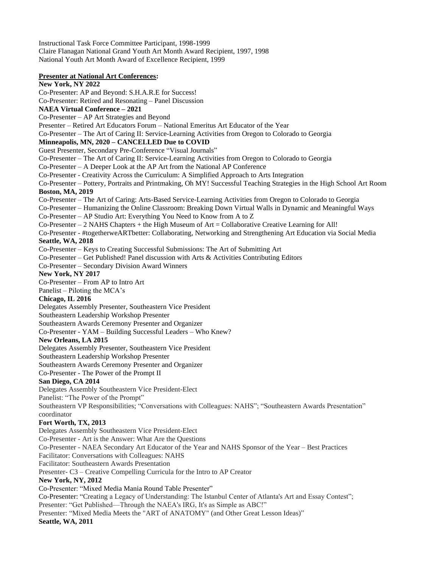Instructional Task Force Committee Participant, 1998-1999 Claire Flanagan National Grand Youth Art Month Award Recipient, 1997, 1998 National Youth Art Month Award of Excellence Recipient, 1999

#### **Presenter at National Art Conferences:**

## **New York, NY 2022**

Co-Presenter: AP and Beyond: S.H.A.R.E for Success!

Co-Presenter: Retired and Resonating – Panel Discussion

#### **NAEA Virtual Conference – 2021**

Co-Presenter – AP Art Strategies and Beyond

Presenter – Retired Art Educators Forum – National Emeritus Art Educator of the Year

Co-Presenter – The Art of Caring II: Service-Learning Activities from Oregon to Colorado to Georgia

#### **Minneapolis, MN, 2020 – CANCELLED Due to COVID**

Guest Presenter, Secondary Pre-Conference "Visual Journals"

Co-Presenter – The Art of Caring II: Service-Learning Activities from Oregon to Colorado to Georgia

- Co-Presenter A Deeper Look at the AP Art from the National AP Conference
- Co-Presenter Creativity Across the Curriculum: A Simplified Approach to Arts Integration

Co-Presenter – Pottery, Portraits and Printmaking, Oh MY! Successful Teaching Strategies in the High School Art Room **Boston, MA, 2019**

Co-Presenter – The Art of Caring: Arts-Based Service-Learning Activities from Oregon to Colorado to Georgia

Co-Presenter – Humanizing the Online Classroom: Breaking Down Virtual Walls in Dynamic and Meaningful Ways

Co-Presenter – AP Studio Art: Everything You Need to Know from A to Z

Co-Presenter – 2 NAHS Chapters + the High Museum of Art = Collaborative Creative Learning for All!

Co-Presenter - #togetherweARTbetter: Collaborating, Networking and Strengthening Art Education via Social Media

## **Seattle, WA, 2018**

Co-Presenter – Keys to Creating Successful Submissions: The Art of Submitting Art

Co-Presenter – Get Published! Panel discussion with Arts & Activities Contributing Editors

Co-Presenter – Secondary Division Award Winners

#### **New York, NY 2017**

Co-Presenter – From AP to Intro Art

Panelist – Piloting the MCA's

#### **Chicago, IL 2016**

Delegates Assembly Presenter, Southeastern Vice President

Southeastern Leadership Workshop Presenter

Southeastern Awards Ceremony Presenter and Organizer

Co-Presenter - YAM – Building Successful Leaders – Who Knew?

#### **New Orleans, LA 2015**

Delegates Assembly Presenter, Southeastern Vice President

Southeastern Leadership Workshop Presenter

Southeastern Awards Ceremony Presenter and Organizer

Co-Presenter - The Power of the Prompt II

## **San Diego, CA 2014**

Delegates Assembly Southeastern Vice President-Elect

Panelist: "The Power of the Prompt"

Southeastern VP Responsibilities; "Conversations with Colleagues: NAHS"; "Southeastern Awards Presentation" coordinator

## **Fort Worth, TX, 2013**

Delegates Assembly Southeastern Vice President-Elect

Co-Presenter - Art is the Answer: What Are the Questions

Co-Presenter - NAEA Secondary Art Educator of the Year and NAHS Sponsor of the Year – Best Practices

Facilitator: Conversations with Colleagues: NAHS

Facilitator: Southeastern Awards Presentation

Presenter- C3 – Creative Compelling Curricula for the Intro to AP Creator

## **New York, NY, 2012**

Co-Presenter: "Mixed Media Mania Round Table Presenter"

Co-Presenter: "Creating a Legacy of Understanding: The Istanbul Center of Atlanta's Art and Essay Contest"; Presenter: "Get Published—Through the NAEA's IRG, It's as Simple as ABC!"

Presenter: "Mixed Media Meets the "ART of ANATOMY" (and Other Great Lesson Ideas)"

**Seattle, WA, 2011**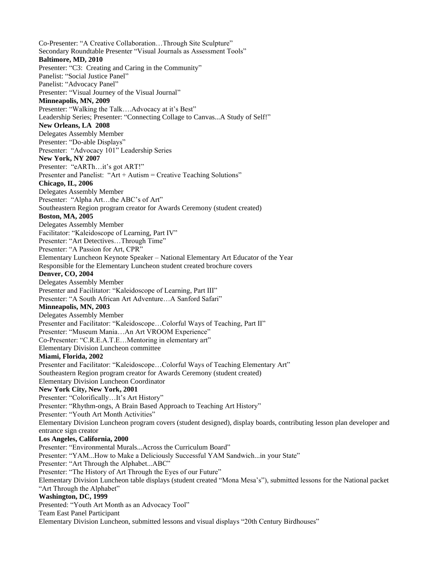Co-Presenter: "A Creative Collaboration…Through Site Sculpture" Secondary Roundtable Presenter "Visual Journals as Assessment Tools" **Baltimore, MD, 2010** Presenter: "C3: Creating and Caring in the Community" Panelist: "Social Justice Panel" Panelist: "Advocacy Panel" Presenter: "Visual Journey of the Visual Journal" **Minneapolis, MN, 2009** Presenter: "Walking the Talk....Advocacy at it's Best" Leadership Series; Presenter: "Connecting Collage to Canvas...A Study of Self!" **New Orleans, LA 2008** Delegates Assembly Member Presenter: "Do-able Displays" Presenter: "Advocacy 101" Leadership Series **New York, NY 2007** Presenter: "eARTh…it's got ART!" Presenter and Panelist: "Art + Autism = Creative Teaching Solutions" **Chicago, IL, 2006** Delegates Assembly Member Presenter: "Alpha Art…the ABC's of Art" Southeastern Region program creator for Awards Ceremony (student created) **Boston, MA, 2005** Delegates Assembly Member Facilitator: "Kaleidoscope of Learning, Part IV" Presenter: "Art Detectives…Through Time" Presenter: "A Passion for Art, CPR" Elementary Luncheon Keynote Speaker – National Elementary Art Educator of the Year Responsible for the Elementary Luncheon student created brochure covers **Denver, CO, 2004** Delegates Assembly Member Presenter and Facilitator: "Kaleidoscope of Learning, Part III" Presenter: "A South African Art Adventure…A Sanford Safari" **Minneapolis, MN, 2003** Delegates Assembly Member Presenter and Facilitator: "Kaleidoscope…Colorful Ways of Teaching, Part II" Presenter: "Museum Mania…An Art VROOM Experience" Co-Presenter: "C.R.E.A.T.E…Mentoring in elementary art" Elementary Division Luncheon committee **Miami, Florida, 2002** Presenter and Facilitator: "Kaleidoscope…Colorful Ways of Teaching Elementary Art" Southeastern Region program creator for Awards Ceremony (student created) Elementary Division Luncheon Coordinator **New York City, New York, 2001** Presenter: "Colorifically…It's Art History" Presenter: "Rhythm-ongs, A Brain Based Approach to Teaching Art History" Presenter: "Youth Art Month Activities" Elementary Division Luncheon program covers (student designed), display boards, contributing lesson plan developer and entrance sign creator **Los Angeles, California, 2000** Presenter: "Environmental Murals...Across the Curriculum Board" Presenter: "YAM...How to Make a Deliciously Successful YAM Sandwich...in your State" Presenter: "Art Through the Alphabet...ABC" Presenter: "The History of Art Through the Eyes of our Future" Elementary Division Luncheon table displays (student created "Mona Mesa's"), submitted lessons for the National packet "Art Through the Alphabet" **Washington, DC, 1999**  Presented: "Youth Art Month as an Advocacy Tool" Team East Panel Participant Elementary Division Luncheon, submitted lessons and visual displays "20th Century Birdhouses"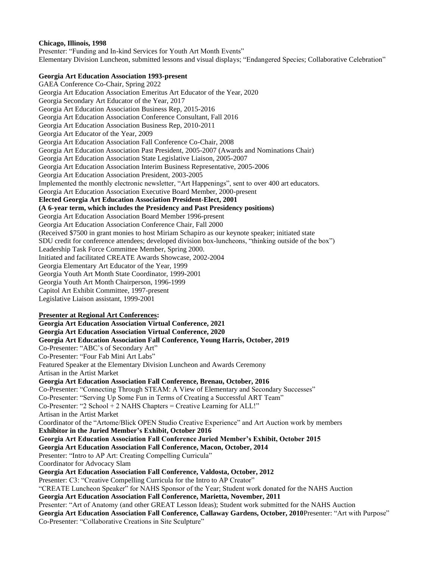#### **Chicago, Illinois, 1998**

Presenter: "Funding and In-kind Services for Youth Art Month Events" Elementary Division Luncheon, submitted lessons and visual displays; "Endangered Species; Collaborative Celebration"

#### **Georgia Art Education Association 1993-present**

GAEA Conference Co-Chair, Spring 2022 Georgia Art Education Association Emeritus Art Educator of the Year, 2020 Georgia Secondary Art Educator of the Year, 2017 Georgia Art Education Association Business Rep, 2015-2016 Georgia Art Education Association Conference Consultant, Fall 2016 Georgia Art Education Association Business Rep, 2010-2011 Georgia Art Educator of the Year, 2009 Georgia Art Education Association Fall Conference Co-Chair, 2008 Georgia Art Education Association Past President, 2005-2007 (Awards and Nominations Chair) Georgia Art Education Association State Legislative Liaison, 2005-2007 Georgia Art Education Association Interim Business Representative, 2005-2006 Georgia Art Education Association President, 2003-2005 Implemented the monthly electronic newsletter, "Art Happenings", sent to over 400 art educators. Georgia Art Education Association Executive Board Member, 2000-present **Elected Georgia Art Education Association President-Elect, 2001 (A 6-year term, which includes the Presidency and Past Presidency positions)**  Georgia Art Education Association Board Member 1996-present Georgia Art Education Association Conference Chair, Fall 2000 (Received \$7500 in grant monies to host Miriam Schapiro as our keynote speaker; initiated state SDU credit for conference attendees; developed division box-luncheons, "thinking outside of the box") Leadership Task Force Committee Member, Spring 2000. Initiated and facilitated CREATE Awards Showcase, 2002-2004 Georgia Elementary Art Educator of the Year, 1999 Georgia Youth Art Month State Coordinator, 1999-2001 Georgia Youth Art Month Chairperson, 1996-1999 Capitol Art Exhibit Committee, 1997-present Legislative Liaison assistant, 1999-2001 **Presenter at Regional Art Conferences: Georgia Art Education Association Virtual Conference, 2021 Georgia Art Education Association Virtual Conference, 2020 Georgia Art Education Association Fall Conference, Young Harris, October, 2019** Co-Presenter: "ABC's of Secondary Art" Co-Presenter: "Four Fab Mini Art Labs" Featured Speaker at the Elementary Division Luncheon and Awards Ceremony Artisan in the Artist Market **Georgia Art Education Association Fall Conference, Brenau, October, 2016** Co-Presenter: "Connecting Through STEAM: A View of Elementary and Secondary Successes" Co-Presenter: "Serving Up Some Fun in Terms of Creating a Successful ART Team" Co-Presenter: "2 School + 2 NAHS Chapters = Creative Learning for ALL!" Artisan in the Artist Market Coordinator of the "Artome/Blick OPEN Studio Creative Experience" and Art Auction work by members **Exhibitor in the Juried Member's Exhibit, October 2016 Georgia Art Education Association Fall Conference Juried Member's Exhibit, October 2015 Georgia Art Education Association Fall Conference, Macon, October, 2014** Presenter: "Intro to AP Art: Creating Compelling Curricula" Coordinator for Advocacy Slam **Georgia Art Education Association Fall Conference, Valdosta, October, 2012** Presenter: C3: "Creative Compelling Curricula for the Intro to AP Creator" "CREATE Luncheon Speaker" for NAHS Sponsor of the Year; Student work donated for the NAHS Auction **Georgia Art Education Association Fall Conference, Marietta, November, 2011** Presenter: "Art of Anatomy (and other GREAT Lesson Ideas); Student work submitted for the NAHS Auction **Georgia Art Education Association Fall Conference, Callaway Gardens, October, 2010**Presenter: "Art with Purpose" Co-Presenter: "Collaborative Creations in Site Sculpture"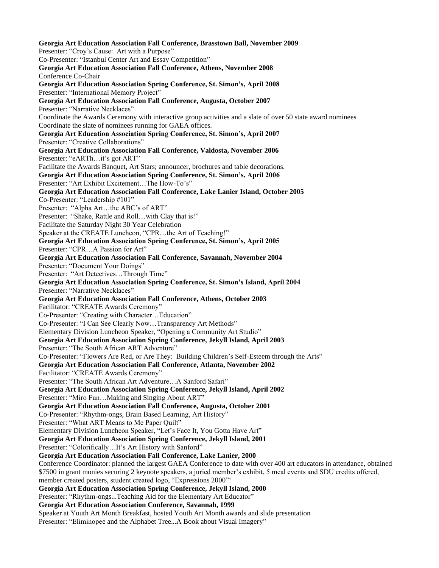**Georgia Art Education Association Fall Conference, Brasstown Ball, November 2009** Presenter: "Croy's Cause: Art with a Purpose" Co-Presenter: "Istanbul Center Art and Essay Competition" **Georgia Art Education Association Fall Conference, Athens, November 2008** Conference Co-Chair **Georgia Art Education Association Spring Conference, St. Simon's, April 2008** Presenter: "International Memory Project" **Georgia Art Education Association Fall Conference, Augusta, October 2007** Presenter: "Narrative Necklaces" Coordinate the Awards Ceremony with interactive group activities and a slate of over 50 state award nominees Coordinate the slate of nominees running for GAEA offices. **Georgia Art Education Association Spring Conference, St. Simon's, April 2007** Presenter: "Creative Collaborations" **Georgia Art Education Association Fall Conference, Valdosta, November 2006** Presenter: "eARTh…it's got ART" Facilitate the Awards Banquet, Art Stars; announcer, brochures and table decorations. **Georgia Art Education Association Spring Conference, St. Simon's, April 2006** Presenter: "Art Exhibit Excitement…The How-To's" **Georgia Art Education Association Fall Conference, Lake Lanier Island, October 2005** Co-Presenter: "Leadership #101" Presenter: "Alpha Art…the ABC's of ART" Presenter: "Shake, Rattle and Roll...with Clay that is!" Facilitate the Saturday Night 30 Year Celebration Speaker at the CREATE Luncheon, "CPR…the Art of Teaching!" **Georgia Art Education Association Spring Conference, St. Simon's, April 2005** Presenter: "CPR…A Passion for Art" **Georgia Art Education Association Fall Conference, Savannah, November 2004** Presenter: "Document Your Doings" Presenter: "Art Detectives…Through Time" **Georgia Art Education Association Spring Conference, St. Simon's Island, April 2004** Presenter: "Narrative Necklaces" **Georgia Art Education Association Fall Conference, Athens, October 2003** Facilitator: "CREATE Awards Ceremony" Co-Presenter: "Creating with Character…Education" Co-Presenter: "I Can See Clearly Now…Transparency Art Methods" Elementary Division Luncheon Speaker, "Opening a Community Art Studio" **Georgia Art Education Association Spring Conference, Jekyll Island, April 2003** Presenter: "The South African ART Adventure" Co-Presenter: "Flowers Are Red, or Are They: Building Children's Self-Esteem through the Arts" **Georgia Art Education Association Fall Conference, Atlanta, November 2002** Facilitator: "CREATE Awards Ceremony" Presenter: "The South African Art Adventure…A Sanford Safari" **Georgia Art Education Association Spring Conference, Jekyll Island, April 2002** Presenter: "Miro Fun…Making and Singing About ART" **Georgia Art Education Association Fall Conference, Augusta, October 2001** Co-Presenter: "Rhythm-ongs, Brain Based Learning, Art History" Presenter: "What ART Means to Me Paper Quilt" Elementary Division Luncheon Speaker, "Let's Face It, You Gotta Have Art" **Georgia Art Education Association Spring Conference, Jekyll Island, 2001** Presenter: "Colorifically…It's Art History with Sanford" **Georgia Art Education Association Fall Conference, Lake Lanier, 2000** Conference Coordinator: planned the largest GAEA Conference to date with over 400 art educators in attendance, obtained \$7500 in grant monies securing 2 keynote speakers, a juried member's exhibit, 5 meal events and SDU credits offered, member created posters, student created logo, "Expressions 2000"! **Georgia Art Education Association Spring Conference, Jekyll Island, 2000** Presenter: "Rhythm-ongs...Teaching Aid for the Elementary Art Educator" **Georgia Art Education Association Conference, Savannah, 1999** Speaker at Youth Art Month Breakfast, hosted Youth Art Month awards and slide presentation Presenter: "Eliminopee and the Alphabet Tree...A Book about Visual Imagery"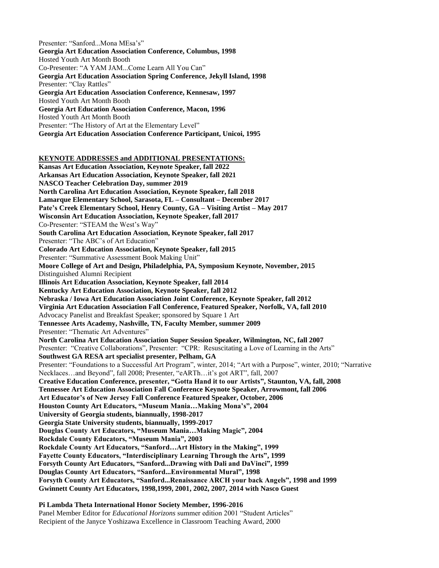Presenter: "Sanford...Mona MEsa's" **Georgia Art Education Association Conference, Columbus, 1998** Hosted Youth Art Month Booth Co-Presenter: "A YAM JAM...Come Learn All You Can" **Georgia Art Education Association Spring Conference, Jekyll Island, 1998** Presenter: "Clay Rattles" **Georgia Art Education Association Conference, Kennesaw, 1997**  Hosted Youth Art Month Booth **Georgia Art Education Association Conference, Macon, 1996**  Hosted Youth Art Month Booth Presenter: "The History of Art at the Elementary Level" **Georgia Art Education Association Conference Participant, Unicoi, 1995**

**KEYNOTE ADDRESSES and ADDITIONAL PRESENTATIONS:**

**Kansas Art Education Association, Keynote Speaker, fall 2022 Arkansas Art Education Association, Keynote Speaker, fall 2021 NASCO Teacher Celebration Day, summer 2019 North Carolina Art Education Association, Keynote Speaker, fall 2018 Lamarque Elementary School, Sarasota, FL – Consultant – December 2017 Pate's Creek Elementary School, Henry County, GA – Visiting Artist – May 2017 Wisconsin Art Education Association, Keynote Speaker, fall 2017** Co-Presenter: "STEAM the West's Way" **South Carolina Art Education Association, Keynote Speaker, fall 2017** Presenter: "The ABC's of Art Education" **Colorado Art Education Association, Keynote Speaker, fall 2015** Presenter: "Summative Assessment Book Making Unit" **Moore College of Art and Design, Philadelphia, PA, Symposium Keynote, November, 2015** Distinguished Alumni Recipient **Illinois Art Education Association, Keynote Speaker, fall 2014 Kentucky Art Education Association, Keynote Speaker, fall 2012 Nebraska / Iowa Art Education Association Joint Conference, Keynote Speaker, fall 2012 Virginia Art Education Association Fall Conference, Featured Speaker, Norfolk, VA, fall 2010** Advocacy Panelist and Breakfast Speaker; sponsored by Square 1 Art **Tennessee Arts Academy, Nashville, TN, Faculty Member, summer 2009** Presenter: "Thematic Art Adventures" **North Carolina Art Education Association Super Session Speaker, Wilmington, NC, fall 2007** Presenter: "Creative Collaborations", Presenter: "CPR: Resuscitating a Love of Learning in the Arts" **Southwest GA RESA art specialist presenter, Pelham, GA** Presenter: "Foundations to a Successful Art Program", winter, 2014; "Art with a Purpose", winter, 2010; "Narrative Necklaces…and Beyond", fall 2008; Presenter, "eARTh…it's got ART", fall, 2007 **Creative Education Conference, presenter, "Gotta Hand it to our Artists", Staunton, VA, fall, 2008 Tennessee Art Education Association Fall Conference Keynote Speaker, Arrowmont, fall 2006 Art Educator's of New Jersey Fall Conference Featured Speaker, October, 2006 Houston County Art Educators, "Museum Mania…Making Mona's", 2004 University of Georgia students, biannually, 1998-2017 Georgia State University students, biannually, 1999-2017 Douglas County Art Educators, "Museum Mania…Making Magic", 2004 Rockdale County Educators, "Museum Mania", 2003 Rockdale County Art Educators, "Sanford…Art History in the Making", 1999 Fayette County Educators, "Interdisciplinary Learning Through the Arts", 1999 Forsyth County Art Educators, "Sanford...Drawing with Dali and DaVinci", 1999 Douglas County Art Educators, "Sanford...Environmental Mural", 1998 Forsyth County Art Educators, "Sanford...Renaissance ARCH your back Angels", 1998 and 1999 Gwinnett County Art Educators, 1998,1999, 2001, 2002, 2007, 2014 with Nasco Guest** 

#### **Pi Lambda Theta International Honor Society Member, 1996-2016**

Panel Member Editor for *Educational Horizons* summer edition 2001 "Student Articles" Recipient of the Janyce Yoshizawa Excellence in Classroom Teaching Award, 2000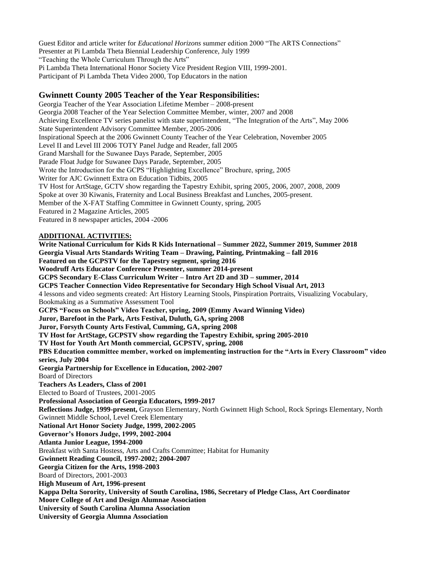Guest Editor and article writer for *Educational Horizons* summer edition 2000 "The ARTS Connections" Presenter at Pi Lambda Theta Biennial Leadership Conference, July 1999 "Teaching the Whole Curriculum Through the Arts" Pi Lambda Theta International Honor Society Vice President Region VIII, 1999-2001. Participant of Pi Lambda Theta Video 2000, Top Educators in the nation

## **Gwinnett County 2005 Teacher of the Year Responsibilities:**

Georgia Teacher of the Year Association Lifetime Member – 2008-present Georgia 2008 Teacher of the Year Selection Committee Member, winter, 2007 and 2008 Achieving Excellence TV series panelist with state superintendent, "The Integration of the Arts", May 2006 State Superintendent Advisory Committee Member, 2005-2006 Inspirational Speech at the 2006 Gwinnett County Teacher of the Year Celebration, November 2005 Level II and Level III 2006 TOTY Panel Judge and Reader, fall 2005 Grand Marshall for the Suwanee Days Parade, September, 2005 Parade Float Judge for Suwanee Days Parade, September, 2005 Wrote the Introduction for the GCPS "Highlighting Excellence" Brochure, spring, 2005 Writer for AJC Gwinnett Extra on Education Tidbits, 2005 TV Host for ArtStage, GCTV show regarding the Tapestry Exhibit, spring 2005, 2006, 2007, 2008, 2009 Spoke at over 30 Kiwanis, Fraternity and Local Business Breakfast and Lunches, 2005-present. Member of the X-FAT Staffing Committee in Gwinnett County, spring, 2005 Featured in 2 Magazine Articles, 2005 Featured in 8 newspaper articles, 2004 -2006

#### **ADDITIONAL ACTIVITIES:**

**Write National Curriculum for Kids R Kids International – Summer 2022, Summer 2019, Summer 2018 Georgia Visual Arts Standards Writing Team – Drawing, Painting, Printmaking – fall 2016 Featured on the GCPSTV for the Tapestry segment, spring 2016 Woodruff Arts Educator Conference Presenter, summer 2014-present GCPS Secondary E-Class Curriculum Writer – Intro Art 2D and 3D – summer, 2014 GCPS Teacher Connection Video Representative for Secondary High School Visual Art, 2013** 4 lessons and video segments created: Art History Learning Stools, Pinspiration Portraits, Visualizing Vocabulary, Bookmaking as a Summative Assessment Tool **GCPS "Focus on Schools" Video Teacher, spring, 2009 (Emmy Award Winning Video) Juror, Barefoot in the Park, Arts Festival, Duluth, GA, spring 2008 Juror, Forsyth County Arts Festival, Cumming, GA, spring 2008 TV Host for ArtStage, GCPSTV show regarding the Tapestry Exhibit, spring 2005-2010 TV Host for Youth Art Month commercial, GCPSTV, spring, 2008 PBS Education committee member, worked on implementing instruction for the "Arts in Every Classroom" video series, July 2004 Georgia Partnership for Excellence in Education, 2002-2007** Board of Directors **Teachers As Leaders, Class of 2001** Elected to Board of Trustees, 2001-2005 **Professional Association of Georgia Educators, 1999-2017 Reflections Judge, 1999-present,** Grayson Elementary, North Gwinnett High School, Rock Springs Elementary, North Gwinnett Middle School, Level Creek Elementary **National Art Honor Society Judge, 1999, 2002-2005 Governor's Honors Judge, 1999, 2002-2004 Atlanta Junior League, 1994-2000** Breakfast with Santa Hostess, Arts and Crafts Committee; Habitat for Humanity **Gwinnett Reading Council, 1997-2002; 2004-2007 Georgia Citizen for the Arts, 1998-2003** Board of Directors, 2001-2003 **High Museum of Art, 1996-present Kappa Delta Sorority, University of South Carolina, 1986, Secretary of Pledge Class, Art Coordinator Moore College of Art and Design Alumnae Association University of South Carolina Alumna Association University of Georgia Alumna Association**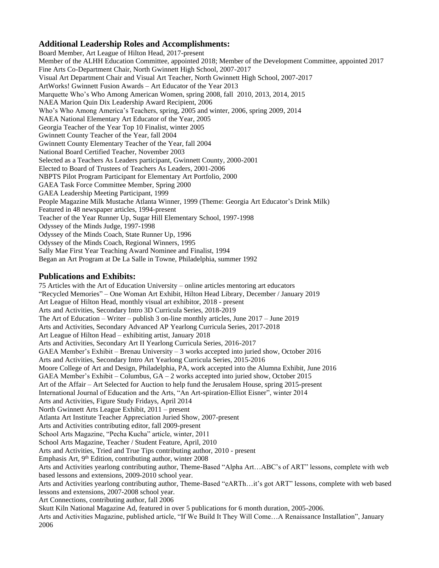## **Additional Leadership Roles and Accomplishments:**

Board Member, Art League of Hilton Head, 2017-present Member of the ALHH Education Committee, appointed 2018; Member of the Development Committee, appointed 2017 Fine Arts Co-Department Chair, North Gwinnett High School, 2007-2017 Visual Art Department Chair and Visual Art Teacher, North Gwinnett High School, 2007-2017 ArtWorks! Gwinnett Fusion Awards – Art Educator of the Year 2013 Marquette Who's Who Among American Women, spring 2008, fall 2010, 2013, 2014, 2015 NAEA Marion Quin Dix Leadership Award Recipient, 2006 Who's Who Among America's Teachers, spring, 2005 and winter, 2006, spring 2009, 2014 NAEA National Elementary Art Educator of the Year, 2005 Georgia Teacher of the Year Top 10 Finalist, winter 2005 Gwinnett County Teacher of the Year, fall 2004 Gwinnett County Elementary Teacher of the Year, fall 2004 National Board Certified Teacher, November 2003 Selected as a Teachers As Leaders participant, Gwinnett County, 2000-2001 Elected to Board of Trustees of Teachers As Leaders, 2001-2006 NBPTS Pilot Program Participant for Elementary Art Portfolio, 2000 GAEA Task Force Committee Member, Spring 2000 GAEA Leadership Meeting Participant, 1999 People Magazine Milk Mustache Atlanta Winner, 1999 (Theme: Georgia Art Educator's Drink Milk) Featured in 48 newspaper articles, 1994-present Teacher of the Year Runner Up, Sugar Hill Elementary School, 1997-1998 Odyssey of the Minds Judge, 1997-1998 Odyssey of the Minds Coach, State Runner Up, 1996 Odyssey of the Minds Coach, Regional Winners, 1995 Sally Mae First Year Teaching Award Nominee and Finalist, 1994 Began an Art Program at De La Salle in Towne, Philadelphia, summer 1992

## **Publications and Exhibits:**

75 Articles with the Art of Education University – online articles mentoring art educators "Recycled Memories" – One Woman Art Exhibit, Hilton Head Library, December / January 2019 Art League of Hilton Head, monthly visual art exhibitor, 2018 - present Arts and Activities, Secondary Intro 3D Curricula Series, 2018-2019 The Art of Education – Writer – publish 3 on-line monthly articles, June 2017 – June 2019 Arts and Activities, Secondary Advanced AP Yearlong Curricula Series, 2017-2018 Art League of Hilton Head – exhibiting artist, January 2018 Arts and Activities, Secondary Art II Yearlong Curricula Series, 2016-2017 GAEA Member's Exhibit – Brenau University – 3 works accepted into juried show, October 2016 Arts and Activities, Secondary Intro Art Yearlong Curricula Series, 2015-2016 Moore College of Art and Design, Philadelphia, PA, work accepted into the Alumna Exhibit, June 2016 GAEA Member's Exhibit – Columbus, GA – 2 works accepted into juried show, October 2015 Art of the Affair – Art Selected for Auction to help fund the Jerusalem House, spring 2015-present International Journal of Education and the Arts, "An Art-spiration-Elliot Eisner", winter 2014 Arts and Activities, Figure Study Fridays, April 2014 North Gwinnett Arts League Exhibit, 2011 – present Atlanta Art Institute Teacher Appreciation Juried Show, 2007-present Arts and Activities contributing editor, fall 2009-present School Arts Magazine, "Pecha Kucha" article, winter, 2011 School Arts Magazine, Teacher / Student Feature, April, 2010 Arts and Activities, Tried and True Tips contributing author, 2010 - present Emphasis Art,  $9<sup>th</sup>$  Edition, contributing author, winter 2008 Arts and Activities yearlong contributing author, Theme-Based "Alpha Art…ABC's of ART" lessons, complete with web based lessons and extensions, 2009-2010 school year. Arts and Activities yearlong contributing author, Theme-Based "eARTh…it's got ART" lessons, complete with web based lessons and extensions, 2007-2008 school year. Art Connections, contributing author, fall 2006 Skutt Kiln National Magazine Ad, featured in over 5 publications for 6 month duration, 2005-2006. Arts and Activities Magazine, published article, "If We Build It They Will Come…A Renaissance Installation", January 2006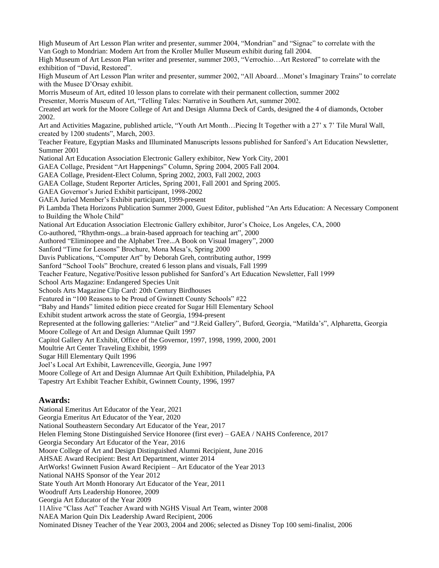High Museum of Art Lesson Plan writer and presenter, summer 2004, "Mondrian" and "Signac" to correlate with the Van Gogh to Mondrian: Modern Art from the Kroller Muller Museum exhibit during fall 2004. High Museum of Art Lesson Plan writer and presenter, summer 2003, "Verrochio…Art Restored" to correlate with the exhibition of "David, Restored". High Museum of Art Lesson Plan writer and presenter, summer 2002, "All Aboard…Monet's Imaginary Trains" to correlate with the Musee D'Orsay exhibit. Morris Museum of Art, edited 10 lesson plans to correlate with their permanent collection, summer 2002 Presenter, Morris Museum of Art, "Telling Tales: Narrative in Southern Art, summer 2002. Created art work for the Moore College of Art and Design Alumna Deck of Cards, designed the 4 of diamonds, October 2002. Art and Activities Magazine, published article, "Youth Art Month…Piecing It Together with a 27' x 7' Tile Mural Wall, created by 1200 students", March, 2003. Teacher Feature, Egyptian Masks and Illuminated Manuscripts lessons published for Sanford's Art Education Newsletter, Summer 2001 National Art Education Association Electronic Gallery exhibitor, New York City, 2001 GAEA Collage, President "Art Happenings" Column, Spring 2004, 2005 Fall 2004. GAEA Collage, President-Elect Column, Spring 2002, 2003, Fall 2002, 2003 GAEA Collage, Student Reporter Articles, Spring 2001, Fall 2001 and Spring 2005. GAEA Governor's Juried Exhibit participant, 1998-2002 GAEA Juried Member's Exhibit participant, 1999-present Pi Lambda Theta Horizons Publication Summer 2000, Guest Editor, published "An Arts Education: A Necessary Component to Building the Whole Child" National Art Education Association Electronic Gallery exhibitor, Juror's Choice, Los Angeles, CA, 2000 Co-authored, "Rhythm-ongs...a brain-based approach for teaching art", 2000 Authored "Eliminopee and the Alphabet Tree...A Book on Visual Imagery", 2000 Sanford "Time for Lessons" Brochure, Mona Mesa's, Spring 2000 Davis Publications, "Computer Art" by Deborah Greh, contributing author, 1999 Sanford "School Tools" Brochure, created 6 lesson plans and visuals, Fall 1999 Teacher Feature, Negative/Positive lesson published for Sanford's Art Education Newsletter, Fall 1999 School Arts Magazine: Endangered Species Unit Schools Arts Magazine Clip Card: 20th Century Birdhouses Featured in "100 Reasons to be Proud of Gwinnett County Schools" #22 "Baby and Hands" limited edition piece created for Sugar Hill Elementary School Exhibit student artwork across the state of Georgia, 1994-present Represented at the following galleries: "Atelier" and "J.Reid Gallery", Buford, Georgia, "Matilda's", Alpharetta, Georgia Moore College of Art and Design Alumnae Quilt 1997 Capitol Gallery Art Exhibit, Office of the Governor, 1997, 1998, 1999, 2000, 2001 Moultrie Art Center Traveling Exhibit, 1999 Sugar Hill Elementary Quilt 1996 Joel's Local Art Exhibit, Lawrenceville, Georgia, June 1997 Moore College of Art and Design Alumnae Art Quilt Exhibition, Philadelphia, PA Tapestry Art Exhibit Teacher Exhibit, Gwinnett County, 1996, 1997 **Awards:** National Emeritus Art Educator of the Year, 2021 Georgia Emeritus Art Educator of the Year, 2020 National Southeastern Secondary Art Educator of the Year, 2017 Helen Fleming Stone Distinguished Service Honoree (first ever) – GAEA / NAHS Conference, 2017 Georgia Secondary Art Educator of the Year, 2016 Moore College of Art and Design Distinguished Alumni Recipient, June 2016 AHSAE Award Recipient: Best Art Department, winter 2014 ArtWorks! Gwinnett Fusion Award Recipient – Art Educator of the Year 2013 National NAHS Sponsor of the Year 2012

State Youth Art Month Honorary Art Educator of the Year, 2011

Woodruff Arts Leadership Honoree, 2009

Georgia Art Educator of the Year 2009

11Alive "Class Act" Teacher Award with NGHS Visual Art Team, winter 2008

NAEA Marion Quin Dix Leadership Award Recipient, 2006

Nominated Disney Teacher of the Year 2003, 2004 and 2006; selected as Disney Top 100 semi-finalist, 2006